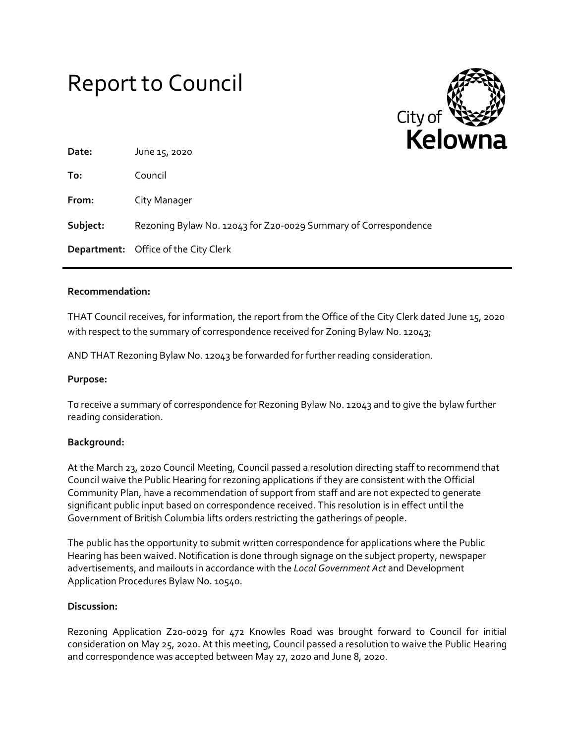# Report to Council



| Date:    | .<br>June 15, 2020                                              |
|----------|-----------------------------------------------------------------|
| To:      | Council                                                         |
| From:    | City Manager                                                    |
| Subject: | Rezoning Bylaw No. 12043 for Z20-0029 Summary of Correspondence |
|          | <b>Department:</b> Office of the City Clerk                     |

### **Recommendation:**

THAT Council receives, for information, the report from the Office of the City Clerk dated June 15, 2020 with respect to the summary of correspondence received for Zoning Bylaw No. 12043;

AND THAT Rezoning Bylaw No. 12043 be forwarded for further reading consideration.

#### **Purpose:**

To receive a summary of correspondence for Rezoning Bylaw No. 12043 and to give the bylaw further reading consideration.

#### **Background:**

At the March 23, 2020 Council Meeting, Council passed a resolution directing staff to recommend that Council waive the Public Hearing for rezoning applications if they are consistent with the Official Community Plan, have a recommendation of support from staff and are not expected to generate significant public input based on correspondence received. This resolution is in effect until the Government of British Columbia lifts orders restricting the gatherings of people.

The public has the opportunity to submit written correspondence for applications where the Public Hearing has been waived. Notification is done through signage on the subject property, newspaper advertisements, and mailouts in accordance with the *Local Government Act* and Development Application Procedures Bylaw No. 10540.

#### **Discussion:**

Rezoning Application Z20-0029 for 472 Knowles Road was brought forward to Council for initial consideration on May 25, 2020. At this meeting, Council passed a resolution to waive the Public Hearing and correspondence was accepted between May 27, 2020 and June 8, 2020.